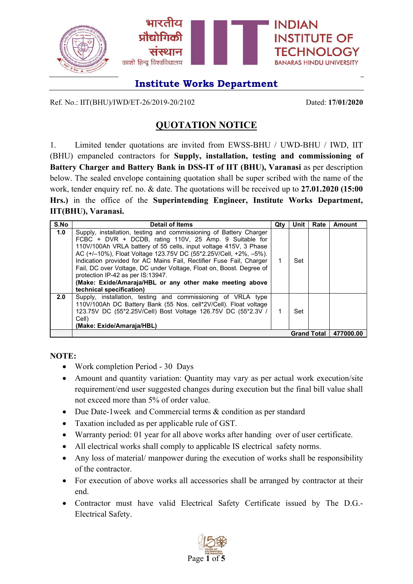

Ref. No.: IIT(BHU)/IWD/ET-26/2019-20/2102 Dated: **17/01/2020**

## **QUOTATION NOTICE**

1. Limited tender quotations are invited from EWSS-BHU / UWD-BHU / IWD, IIT (BHU) empaneled contractors for **Supply, installation, testing and commissioning of Battery Charger and Battery Bank in DSS-IT of IIT (BHU), Varanasi** as per description below. The sealed envelope containing quotation shall be super scribed with the name of the work, tender enquiry ref. no. & date. The quotations will be received up to **27.01.2020 (15:00 Hrs.)** in the office of the **Superintending Engineer, Institute Works Department, IIT(BHU), Varanasi.**

| S.No | <b>Detail of Items</b>                                                                                                                                                                                                                                                                                                                                                                                                                                                                                                                          | Qtv | Unit | Rate               | Amount    |
|------|-------------------------------------------------------------------------------------------------------------------------------------------------------------------------------------------------------------------------------------------------------------------------------------------------------------------------------------------------------------------------------------------------------------------------------------------------------------------------------------------------------------------------------------------------|-----|------|--------------------|-----------|
| 1.0  | Supply, installation, testing and commissioning of Battery Charger<br>FCBC + DVR + DCDB, rating 110V, 25 Amp. 9 Suitable for<br>110V/100Ah VRLA battery of 55 cells, input voltage 415V, 3 Phase<br>AC (+/-10%), Float Voltage 123.75V DC (55*2.25V/Cell, +2%, -5%).<br>Indication provided for AC Mains Fail, Rectifier Fuse Fail, Charger<br>Fail, DC over Voltage, DC under Voltage, Float on, Boost. Degree of<br>protection IP-42 as per IS:13947.<br>(Make: Exide/Amaraja/HBL or any other make meeting above<br>technical specification) | 1   | Set  |                    |           |
| 2.0  | Supply, installation, testing and commissioning of VRLA type<br>110V/100Ah DC Battery Bank (55 Nos. cell*2V/Cell). Float voltage<br>123.75V DC (55*2.25V/Cell) Bost Voltage 126.75V DC (55*2.3V /<br>Cell)<br>(Make: Exide/Amaraja/HBL)                                                                                                                                                                                                                                                                                                         | 1   | Set  |                    |           |
|      |                                                                                                                                                                                                                                                                                                                                                                                                                                                                                                                                                 |     |      | <b>Grand Total</b> | 477000.00 |

**NOTE:**

- Work completion Period 30 Days
- Amount and quantity variation: Quantity may vary as per actual work execution/site requirement/end user suggested changes during execution but the final bill value shall not exceed more than 5% of order value.
- Due Date-1 week and Commercial terms & condition as per standard
- Taxation included as per applicable rule of GST.
- Warranty period: 01 year for all above works after handing over of user certificate.
- All electrical works shall comply to applicable IS electrical safety norms.
- Any loss of material/ manpower during the execution of works shall be responsibility of the contractor.
- For execution of above works all accessories shall be arranged by contractor at their end.
- Contractor must have valid Electrical Safety Certificate issued by The D.G.- Electrical Safety.

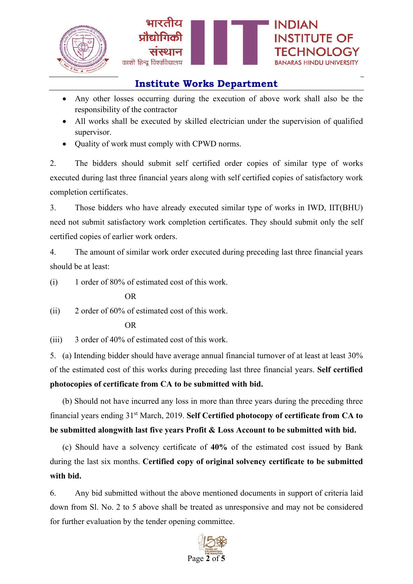

- Any other losses occurring during the execution of above work shall also be the responsibility of the contractor
- All works shall be executed by skilled electrician under the supervision of qualified supervisor.
- Ouality of work must comply with CPWD norms.

2. The bidders should submit self certified order copies of similar type of works executed during last three financial years along with self certified copies of satisfactory work completion certificates.

3. Those bidders who have already executed similar type of works in IWD, IIT(BHU) need not submit satisfactory work completion certificates. They should submit only the self certified copies of earlier work orders.

4. The amount of similar work order executed during preceding last three financial years should be at least:

(i) 1 order of 80% of estimated cost of this work.

### OR

(ii) 2 order of 60% of estimated cost of this work.

#### OR

(iii) 3 order of 40% of estimated cost of this work.

5. (a) Intending bidder should have average annual financial turnover of at least at least 30% of the estimated cost of this works during preceding last three financial years. **Self certified photocopies of certificate from CA to be submitted with bid.**

(b) Should not have incurred any loss in more than three years during the preceding three financial years ending 31st March, 2019. **Self Certified photocopy of certificate from CA to be submitted alongwith last five years Profit & Loss Account to be submitted with bid.**

(c) Should have a solvency certificate of **40%** of the estimated cost issued by Bank during the last six months. **Certified copy of original solvency certificate to be submitted with bid.**

6. Any bid submitted without the above mentioned documents in support of criteria laid down from Sl. No. 2 to 5 above shall be treated as unresponsive and may not be considered for further evaluation by the tender opening committee.

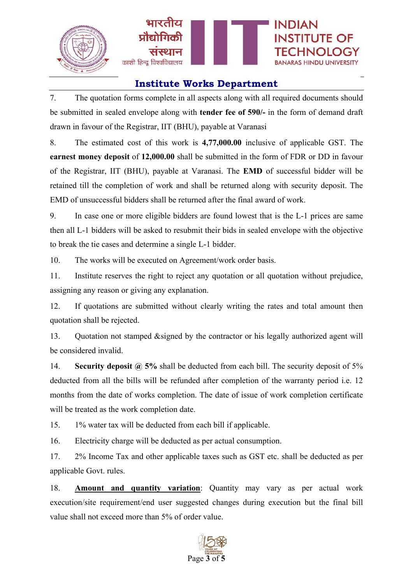

7. The quotation forms complete in all aspects along with all required documents should be submitted in sealed envelope along with **tender fee of 590/-** in the form of demand draft drawn in favour of the Registrar, IIT (BHU), payable at Varanasi

8. The estimated cost of this work is **4,77,000.00** inclusive of applicable GST. The **earnest money deposit** of **12,000.00** shall be submitted in the form of FDR or DD in favour of the Registrar, IIT (BHU), payable at Varanasi. The **EMD** of successful bidder will be retained till the completion of work and shall be returned along with security deposit. The EMD of unsuccessful bidders shall be returned after the final award of work.

9. In case one or more eligible bidders are found lowest that is the L-1 prices are same then all L-1 bidders will be asked to resubmit their bids in sealed envelope with the objective to break the tie cases and determine a single L-1 bidder.

10. The works will be executed on Agreement/work order basis.

11. Institute reserves the right to reject any quotation or all quotation without prejudice, assigning any reason or giving any explanation.

12. If quotations are submitted without clearly writing the rates and total amount then quotation shall be rejected.

13. Quotation not stamped &signed by the contractor or his legally authorized agent will be considered invalid.

14. **Security deposit @ 5%** shall be deducted from each bill. The security deposit of 5% deducted from all the bills will be refunded after completion of the warranty period i.e. 12 months from the date of works completion. The date of issue of work completion certificate will be treated as the work completion date.

15. 1% water tax will be deducted from each bill if applicable.

16. Electricity charge will be deducted as per actual consumption.

17. 2% Income Tax and other applicable taxes such as GST etc. shall be deducted as per applicable Govt. rules.

18. **Amount and quantity variation**: Quantity may vary as per actual work execution/site requirement/end user suggested changes during execution but the final bill value shall not exceed more than 5% of order value.

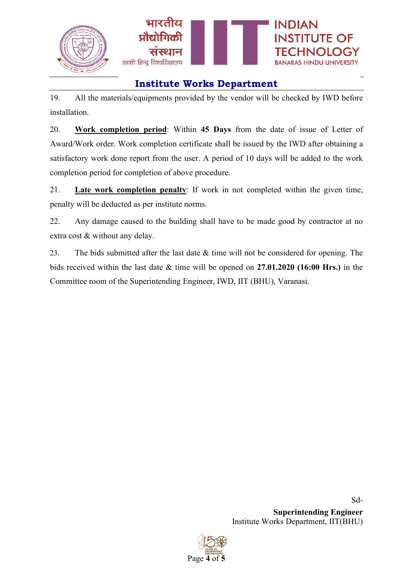

19. All the materials/equipments provided by the vendor will be checked by IWD before installation.

20. **Work completion period**: Within **45 Days** from the date of issue of Letter of Award/Work order. Work completion certificate shall be issued by the IWD after obtaining a satisfactory work done report from the user. A period of 10 days will be added to the work completion period for completion of above procedure.

21. **Late work completion penalty**: If work in not completed within the given time, penalty will be deducted as per institute norms.

22. Any damage caused to the building shall have to be made good by contractor at no extra cost & without any delay.

23. The bids submitted after the last date & time will not be considered for opening. The bids received within the last date & time will be opened on **27.01.2020 (16:00 Hrs.)** in the Committee room of the Superintending Engineer, IWD, IIT (BHU), Varanasi.

> Sd-**Superintending Engineer** Institute Works Department, IIT(BHU)